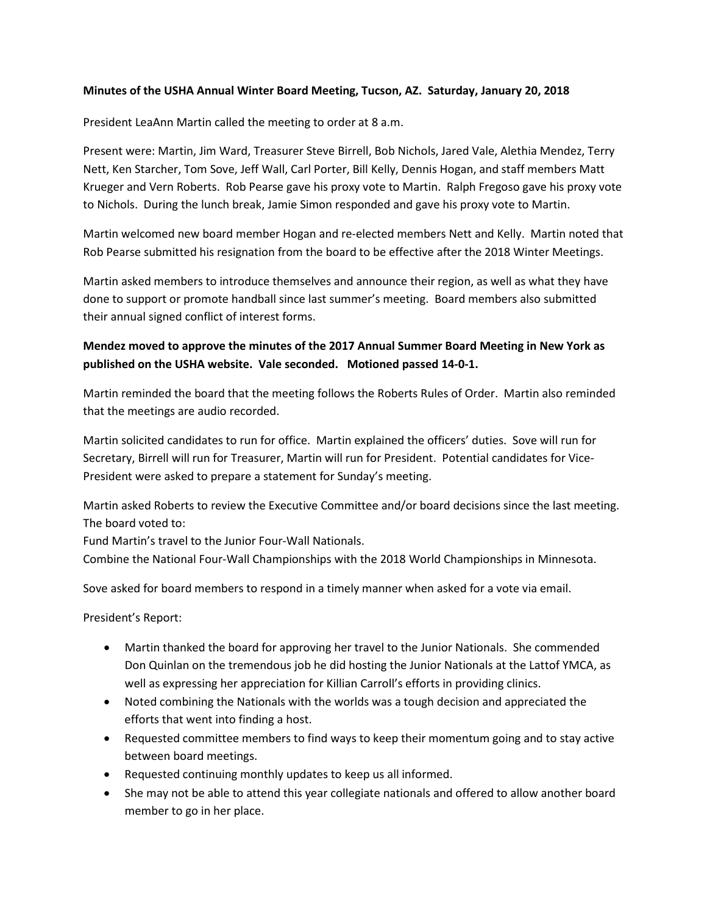#### **Minutes of the USHA Annual Winter Board Meeting, Tucson, AZ. Saturday, January 20, 2018**

President LeaAnn Martin called the meeting to order at 8 a.m.

Present were: Martin, Jim Ward, Treasurer Steve Birrell, Bob Nichols, Jared Vale, Alethia Mendez, Terry Nett, Ken Starcher, Tom Sove, Jeff Wall, Carl Porter, Bill Kelly, Dennis Hogan, and staff members Matt Krueger and Vern Roberts. Rob Pearse gave his proxy vote to Martin. Ralph Fregoso gave his proxy vote to Nichols. During the lunch break, Jamie Simon responded and gave his proxy vote to Martin.

Martin welcomed new board member Hogan and re-elected members Nett and Kelly. Martin noted that Rob Pearse submitted his resignation from the board to be effective after the 2018 Winter Meetings.

Martin asked members to introduce themselves and announce their region, as well as what they have done to support or promote handball since last summer's meeting. Board members also submitted their annual signed conflict of interest forms.

## **Mendez moved to approve the minutes of the 2017 Annual Summer Board Meeting in New York as published on the USHA website. Vale seconded. Motioned passed 14-0-1.**

Martin reminded the board that the meeting follows the Roberts Rules of Order. Martin also reminded that the meetings are audio recorded.

Martin solicited candidates to run for office. Martin explained the officers' duties. Sove will run for Secretary, Birrell will run for Treasurer, Martin will run for President. Potential candidates for Vice-President were asked to prepare a statement for Sunday's meeting.

Martin asked Roberts to review the Executive Committee and/or board decisions since the last meeting. The board voted to:

Fund Martin's travel to the Junior Four-Wall Nationals.

Combine the National Four-Wall Championships with the 2018 World Championships in Minnesota.

Sove asked for board members to respond in a timely manner when asked for a vote via email.

President's Report:

- Martin thanked the board for approving her travel to the Junior Nationals. She commended Don Quinlan on the tremendous job he did hosting the Junior Nationals at the Lattof YMCA, as well as expressing her appreciation for Killian Carroll's efforts in providing clinics.
- Noted combining the Nationals with the worlds was a tough decision and appreciated the efforts that went into finding a host.
- Requested committee members to find ways to keep their momentum going and to stay active between board meetings.
- Requested continuing monthly updates to keep us all informed.
- She may not be able to attend this year collegiate nationals and offered to allow another board member to go in her place.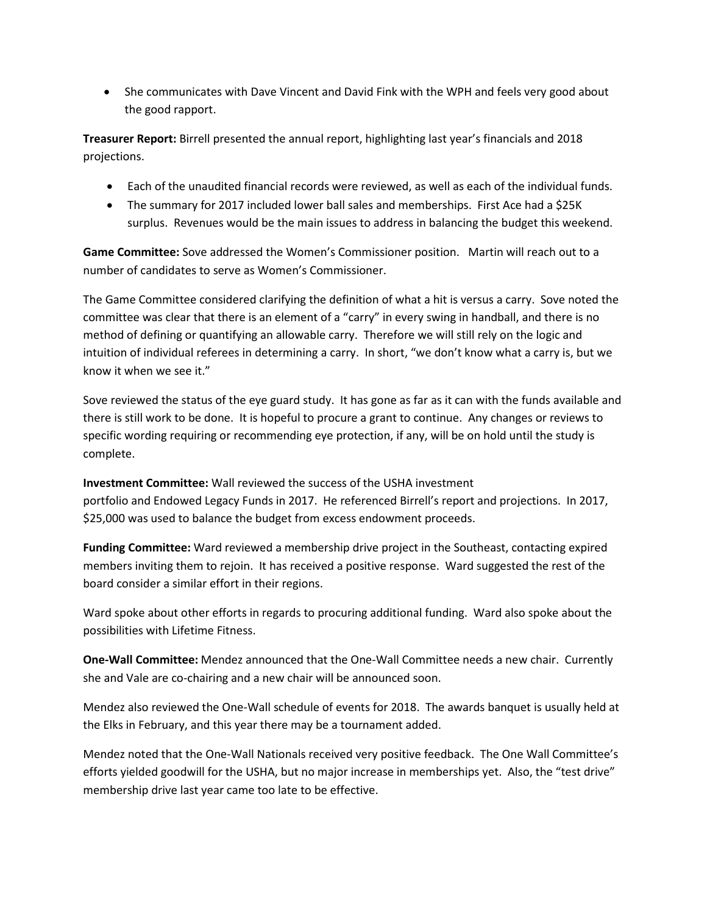• She communicates with Dave Vincent and David Fink with the WPH and feels very good about the good rapport.

**Treasurer Report:** Birrell presented the annual report, highlighting last year's financials and 2018 projections.

- Each of the unaudited financial records were reviewed, as well as each of the individual funds.
- The summary for 2017 included lower ball sales and memberships. First Ace had a \$25K surplus. Revenues would be the main issues to address in balancing the budget this weekend.

**Game Committee:** Sove addressed the Women's Commissioner position. Martin will reach out to a number of candidates to serve as Women's Commissioner.

The Game Committee considered clarifying the definition of what a hit is versus a carry. Sove noted the committee was clear that there is an element of a "carry" in every swing in handball, and there is no method of defining or quantifying an allowable carry. Therefore we will still rely on the logic and intuition of individual referees in determining a carry. In short, "we don't know what a carry is, but we know it when we see it."

Sove reviewed the status of the eye guard study. It has gone as far as it can with the funds available and there is still work to be done. It is hopeful to procure a grant to continue. Any changes or reviews to specific wording requiring or recommending eye protection, if any, will be on hold until the study is complete.

**Investment Committee:** Wall reviewed the success of the USHA investment portfolio and Endowed Legacy Funds in 2017. He referenced Birrell's report and projections. In 2017, \$25,000 was used to balance the budget from excess endowment proceeds.

**Funding Committee:** Ward reviewed a membership drive project in the Southeast, contacting expired members inviting them to rejoin. It has received a positive response. Ward suggested the rest of the board consider a similar effort in their regions.

Ward spoke about other efforts in regards to procuring additional funding. Ward also spoke about the possibilities with Lifetime Fitness.

**One-Wall Committee:** Mendez announced that the One-Wall Committee needs a new chair. Currently she and Vale are co-chairing and a new chair will be announced soon.

Mendez also reviewed the One-Wall schedule of events for 2018. The awards banquet is usually held at the Elks in February, and this year there may be a tournament added.

Mendez noted that the One-Wall Nationals received very positive feedback. The One Wall Committee's efforts yielded goodwill for the USHA, but no major increase in memberships yet. Also, the "test drive" membership drive last year came too late to be effective.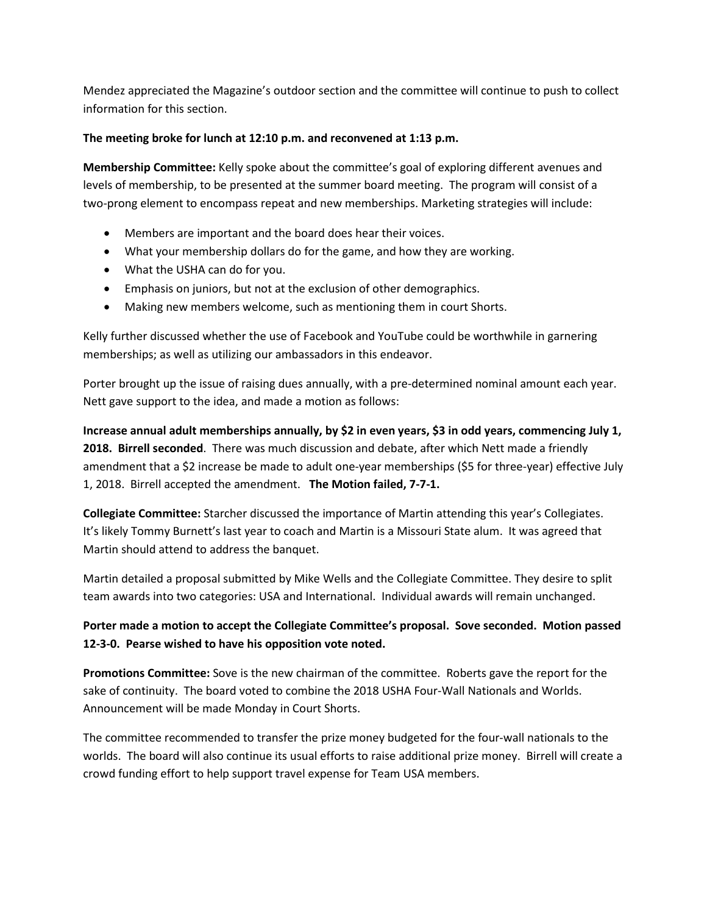Mendez appreciated the Magazine's outdoor section and the committee will continue to push to collect information for this section.

### **The meeting broke for lunch at 12:10 p.m. and reconvened at 1:13 p.m.**

**Membership Committee:** Kelly spoke about the committee's goal of exploring different avenues and levels of membership, to be presented at the summer board meeting. The program will consist of a two-prong element to encompass repeat and new memberships. Marketing strategies will include:

- Members are important and the board does hear their voices.
- What your membership dollars do for the game, and how they are working.
- What the USHA can do for you.
- Emphasis on juniors, but not at the exclusion of other demographics.
- Making new members welcome, such as mentioning them in court Shorts.

Kelly further discussed whether the use of Facebook and YouTube could be worthwhile in garnering memberships; as well as utilizing our ambassadors in this endeavor.

Porter brought up the issue of raising dues annually, with a pre-determined nominal amount each year. Nett gave support to the idea, and made a motion as follows:

**Increase annual adult memberships annually, by \$2 in even years, \$3 in odd years, commencing July 1, 2018. Birrell seconded**. There was much discussion and debate, after which Nett made a friendly amendment that a \$2 increase be made to adult one-year memberships (\$5 for three-year) effective July 1, 2018. Birrell accepted the amendment. **The Motion failed, 7-7-1.**

**Collegiate Committee:** Starcher discussed the importance of Martin attending this year's Collegiates. It's likely Tommy Burnett's last year to coach and Martin is a Missouri State alum. It was agreed that Martin should attend to address the banquet.

Martin detailed a proposal submitted by Mike Wells and the Collegiate Committee. They desire to split team awards into two categories: USA and International. Individual awards will remain unchanged.

## **Porter made a motion to accept the Collegiate Committee's proposal. Sove seconded. Motion passed 12-3-0. Pearse wished to have his opposition vote noted.**

**Promotions Committee:** Sove is the new chairman of the committee. Roberts gave the report for the sake of continuity. The board voted to combine the 2018 USHA Four-Wall Nationals and Worlds. Announcement will be made Monday in Court Shorts.

The committee recommended to transfer the prize money budgeted for the four-wall nationals to the worlds. The board will also continue its usual efforts to raise additional prize money. Birrell will create a crowd funding effort to help support travel expense for Team USA members.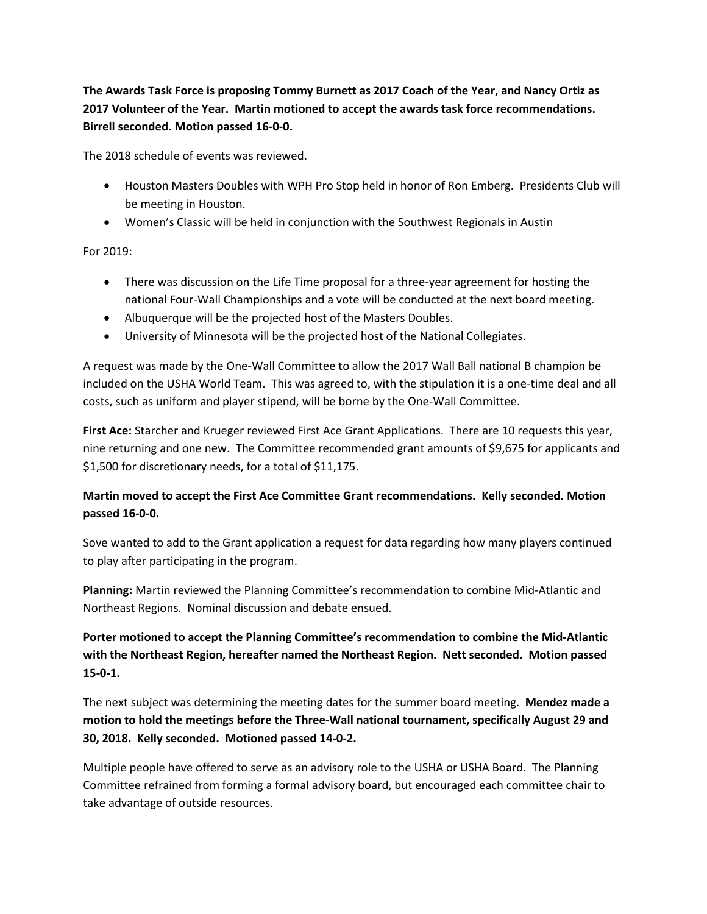**The Awards Task Force is proposing Tommy Burnett as 2017 Coach of the Year, and Nancy Ortiz as 2017 Volunteer of the Year. Martin motioned to accept the awards task force recommendations. Birrell seconded. Motion passed 16-0-0.**

The 2018 schedule of events was reviewed.

- Houston Masters Doubles with WPH Pro Stop held in honor of Ron Emberg. Presidents Club will be meeting in Houston.
- Women's Classic will be held in conjunction with the Southwest Regionals in Austin

For 2019:

- There was discussion on the Life Time proposal for a three-year agreement for hosting the national Four-Wall Championships and a vote will be conducted at the next board meeting.
- Albuquerque will be the projected host of the Masters Doubles.
- University of Minnesota will be the projected host of the National Collegiates.

A request was made by the One-Wall Committee to allow the 2017 Wall Ball national B champion be included on the USHA World Team. This was agreed to, with the stipulation it is a one-time deal and all costs, such as uniform and player stipend, will be borne by the One-Wall Committee.

**First Ace:** Starcher and Krueger reviewed First Ace Grant Applications. There are 10 requests this year, nine returning and one new. The Committee recommended grant amounts of \$9,675 for applicants and \$1,500 for discretionary needs, for a total of \$11,175.

## **Martin moved to accept the First Ace Committee Grant recommendations. Kelly seconded. Motion passed 16-0-0.**

Sove wanted to add to the Grant application a request for data regarding how many players continued to play after participating in the program.

**Planning:** Martin reviewed the Planning Committee's recommendation to combine Mid-Atlantic and Northeast Regions. Nominal discussion and debate ensued.

**Porter motioned to accept the Planning Committee's recommendation to combine the Mid-Atlantic with the Northeast Region, hereafter named the Northeast Region. Nett seconded. Motion passed 15-0-1.** 

The next subject was determining the meeting dates for the summer board meeting. **Mendez made a motion to hold the meetings before the Three-Wall national tournament, specifically August 29 and 30, 2018. Kelly seconded. Motioned passed 14-0-2.**

Multiple people have offered to serve as an advisory role to the USHA or USHA Board. The Planning Committee refrained from forming a formal advisory board, but encouraged each committee chair to take advantage of outside resources.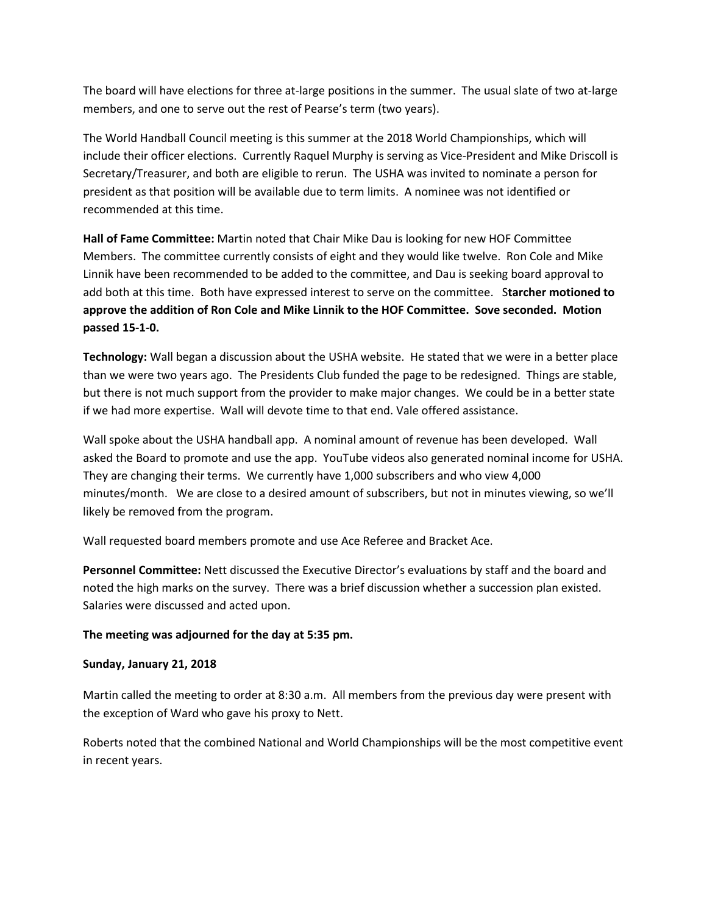The board will have elections for three at-large positions in the summer. The usual slate of two at-large members, and one to serve out the rest of Pearse's term (two years).

The World Handball Council meeting is this summer at the 2018 World Championships, which will include their officer elections. Currently Raquel Murphy is serving as Vice-President and Mike Driscoll is Secretary/Treasurer, and both are eligible to rerun. The USHA was invited to nominate a person for president as that position will be available due to term limits. A nominee was not identified or recommended at this time.

**Hall of Fame Committee:** Martin noted that Chair Mike Dau is looking for new HOF Committee Members. The committee currently consists of eight and they would like twelve. Ron Cole and Mike Linnik have been recommended to be added to the committee, and Dau is seeking board approval to add both at this time. Both have expressed interest to serve on the committee. S**tarcher motioned to approve the addition of Ron Cole and Mike Linnik to the HOF Committee. Sove seconded. Motion passed 15-1-0.** 

**Technology:** Wall began a discussion about the USHA website. He stated that we were in a better place than we were two years ago. The Presidents Club funded the page to be redesigned. Things are stable, but there is not much support from the provider to make major changes. We could be in a better state if we had more expertise. Wall will devote time to that end. Vale offered assistance.

Wall spoke about the USHA handball app. A nominal amount of revenue has been developed. Wall asked the Board to promote and use the app. YouTube videos also generated nominal income for USHA. They are changing their terms. We currently have 1,000 subscribers and who view 4,000 minutes/month. We are close to a desired amount of subscribers, but not in minutes viewing, so we'll likely be removed from the program.

Wall requested board members promote and use Ace Referee and Bracket Ace.

**Personnel Committee:** Nett discussed the Executive Director's evaluations by staff and the board and noted the high marks on the survey. There was a brief discussion whether a succession plan existed. Salaries were discussed and acted upon.

#### **The meeting was adjourned for the day at 5:35 pm.**

#### **Sunday, January 21, 2018**

Martin called the meeting to order at 8:30 a.m. All members from the previous day were present with the exception of Ward who gave his proxy to Nett.

Roberts noted that the combined National and World Championships will be the most competitive event in recent years.